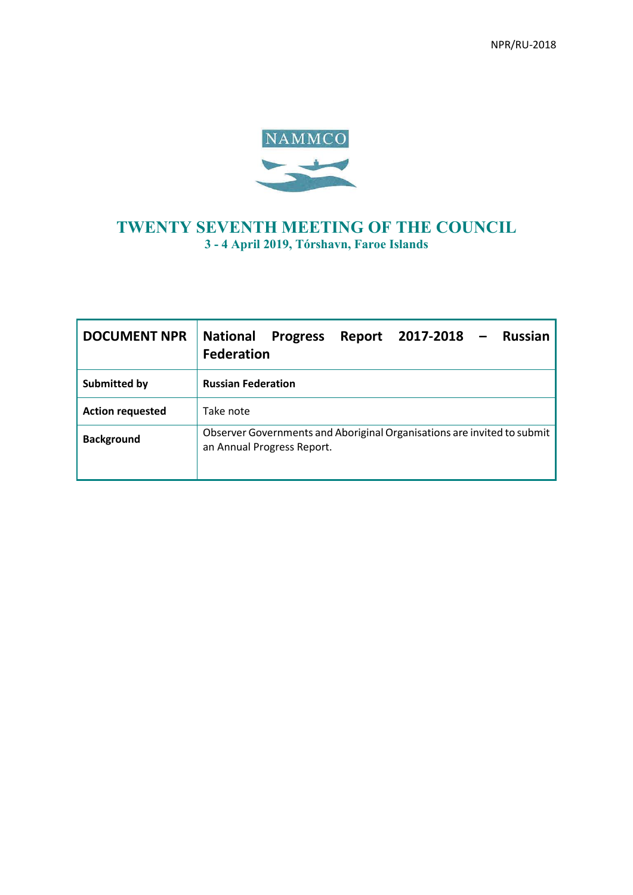

# **TWENTY SEVENTH MEETING OF THE COUNCIL 3 - 4 April 2019, Tórshavn, Faroe Islands**

| <b>DOCUMENT NPR</b>     | <b>National</b><br>2017-2018<br><b>Russian</b><br><b>Progress</b><br>Report<br><b>Federation</b>      |
|-------------------------|-------------------------------------------------------------------------------------------------------|
| <b>Submitted by</b>     | <b>Russian Federation</b>                                                                             |
| <b>Action requested</b> | Take note                                                                                             |
| <b>Background</b>       | Observer Governments and Aboriginal Organisations are invited to submit<br>an Annual Progress Report. |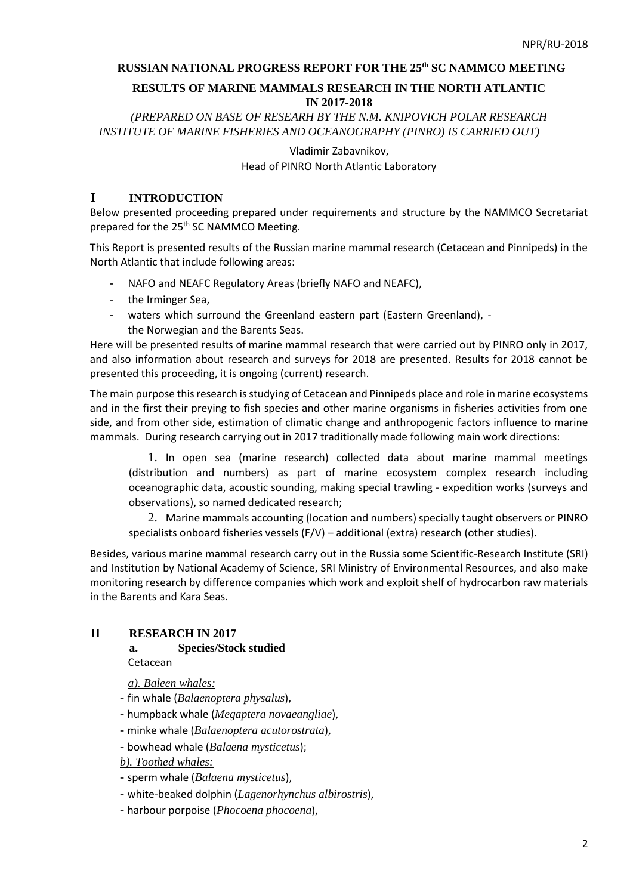# **RUSSIAN NATIONAL PROGRESS REPORT FOR THE 25th SC NAMMCO MEETING**

# **RESULTS OF MARINE MAMMALS RESEARCH IN THE NORTH ATLANTIC IN 2017-2018**

*(PREPARED ON BASE OF RESEARH BY THE N.M. KNIPOVICH POLAR RESEARCH INSTITUTE OF MARINE FISHERIES AND OCEANOGRAPHY (PINRO) IS CARRIED OUT)* 

> Vladimir Zabavnikov, Head of PINRO North Atlantic Laboratory

# **I INTRODUCTION**

Below presented proceeding prepared under requirements and structure by the NAMMCO Secretariat prepared for the 25<sup>th</sup> SC NAMMCO Meeting.

This Report is presented results of the Russian marine mammal research (Cetacean and Pinnipeds) in the North Atlantic that include following areas:

- NAFO and NEAFC Regulatory Areas (briefly NAFO and NEAFC),
- the Irminger Sea,
- waters which surround the Greenland eastern part (Eastern Greenland), the Norwegian and the Barents Seas.

Here will be presented results of marine mammal research that were carried out by PINRO only in 2017, and also information about research and surveys for 2018 are presented. Results for 2018 cannot be presented this proceeding, it is ongoing (current) research.

The main purpose this research is studying of Cetacean and Pinnipeds place and role in marine ecosystems and in the first their preying to fish species and other marine organisms in fisheries activities from one side, and from other side, estimation of climatic change and anthropogenic factors influence to marine mammals. During research carrying out in 2017 traditionally made following main work directions:

1. In open sea (marine research) collected data about marine mammal meetings (distribution and numbers) as part of marine ecosystem complex research including oceanographic data, acoustic sounding, making special trawling - expedition works (surveys and observations), so named dedicated research;

2. Marine mammals accounting (location and numbers) specially taught observers or PINRO specialists onboard fisheries vessels (F/V) – additional (extra) research (other studies).

Besides, various marine mammal research carry out in the Russia some Scientific-Research Institute (SRI) and Institution by National Academy of Science, SRI Ministry of Environmental Resources, and also make monitoring research by difference companies which work and exploit shelf of hydrocarbon raw materials in the Barents and Kara Seas.

# **II RESEARCH IN 2017**

### **a. Species/Stock studied**

Cetacean

*a). Baleen whales:*

- fin whale (*Balaenoptera physalus*),
- humpback whale (*Megaptera novaeangliae*),
- minke whale (*Balaenoptera acutorostrata*),
- bowhead whale (*Balaena mysticetus*);

*b). Toothed whales:*

- sperm whale (*Balaena mysticetus*),
- white-beaked dolphin (*Lagenorhynchus albirostris*),
- harbour porpoise (*Phocoena phocoena*),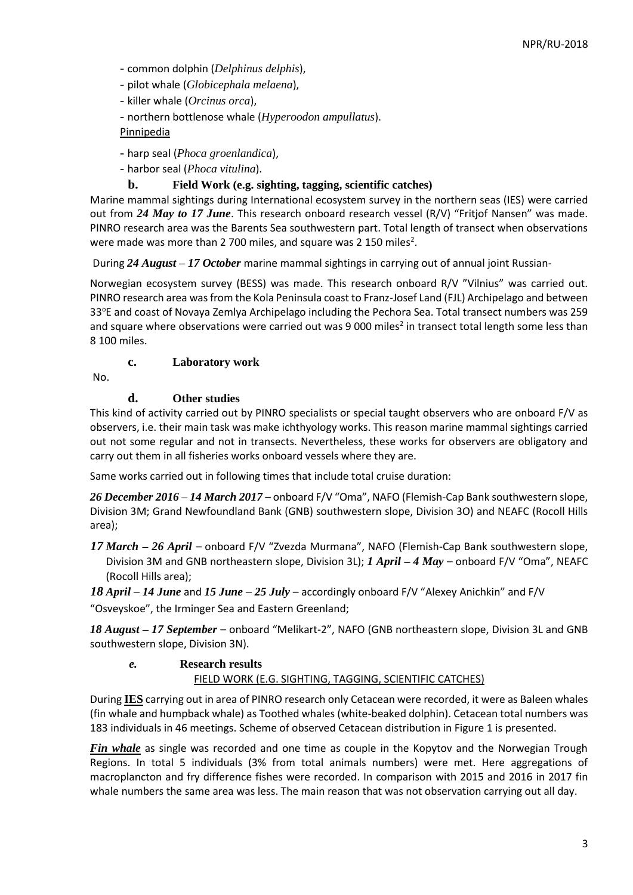- common dolphin (*Delphinus delphis*),
- pilot whale (*Globicephala melaena*),
- killer whale (*Orcinus orca*),
- northern bottlenose whale (*Hyperoodon ampullatus*).

### Pinnipedia

- harp seal (*Phoca groenlandica*),
- harbor seal (*Phoca vitulina*).

# **b. Field Work (e.g. sighting, tagging, scientific catches)**

Marine mammal sightings during International ecosystem survey in the northern seas (IES) were carried out from *24 May to 17 June*. This research onboard research vessel (R/V) "Fritjof Nansen" was made. PINRO research area was the Barents Sea southwestern part. Total length of transect when observations were made was more than 2 700 miles, and square was 2 150 miles<sup>2</sup>.

During *24 August – 17 October* marine mammal sightings in carrying out of annual joint Russian-

Norwegian ecosystem survey (BESS) was made. This research onboard R/V "Vilnius" was carried out. PINRO research area was from the Kola Peninsula coast to Franz-Josef Land (FJL) Archipelago and between 33<sup>o</sup>E and coast of Novaya Zemlya Archipelago including the Pechora Sea. Total transect numbers was 259 and square where observations were carried out was 9 000 miles<sup>2</sup> in transect total length some less than 8 100 miles.

# **c. Laboratory work**

No.

# **d. Other studies**

This kind of activity carried out by PINRO specialists or special taught observers who are onboard F/V as observers, i.e. their main task was make ichthyology works. This reason marine mammal sightings carried out not some regular and not in transects. Nevertheless, these works for observers are obligatory and carry out them in all fisheries works onboard vessels where they are.

Same works carried out in following times that include total cruise duration:

*26 December 2016 – 14 March 2017* – onboard F/V "Oma", NAFO (Flemish-Cap Bank southwestern slope, Division 3M; Grand Newfoundland Bank (GNB) southwestern slope, Division 3O) and NEAFC (Rocoll Hills area);

*17 March – 26 April* – onboard F/V "Zvezda Murmana", NAFO (Flemish-Cap Bank southwestern slope, Division 3M and GNB northeastern slope, Division 3L); *1 April – 4 May* – onboard F/V "Oma", NEAFC (Rocoll Hills area);

*18 April – 14 June* and *15 June – 25 July* – accordingly onboard F/V "Alexey Anichkin" and F/V "Osveyskoe", the Irminger Sea and Eastern Greenland;

*18 August – 17 September* – onboard "Melikart-2", NAFO (GNB northeastern slope, Division 3L and GNB southwestern slope, Division 3N).

### *e.* **Research results**

### FIELD WORK (E.G. SIGHTING, TAGGING, SCIENTIFIC CATCHES)

During **IES** carrying out in area of PINRO research only Cetacean were recorded, it were as Baleen whales (fin whale and humpback whale) as Toothed whales (white-beaked dolphin). Cetacean total numbers was 183 individuals in 46 meetings. Scheme of observed Cetacean distribution in Figure 1 is presented.

*Fin whale* as single was recorded and one time as couple in the Kopytov and the Norwegian Trough Regions. In total 5 individuals (3% from total animals numbers) were met. Here aggregations of macroplancton and fry difference fishes were recorded. In comparison with 2015 and 2016 in 2017 fin whale numbers the same area was less. The main reason that was not observation carrying out all day.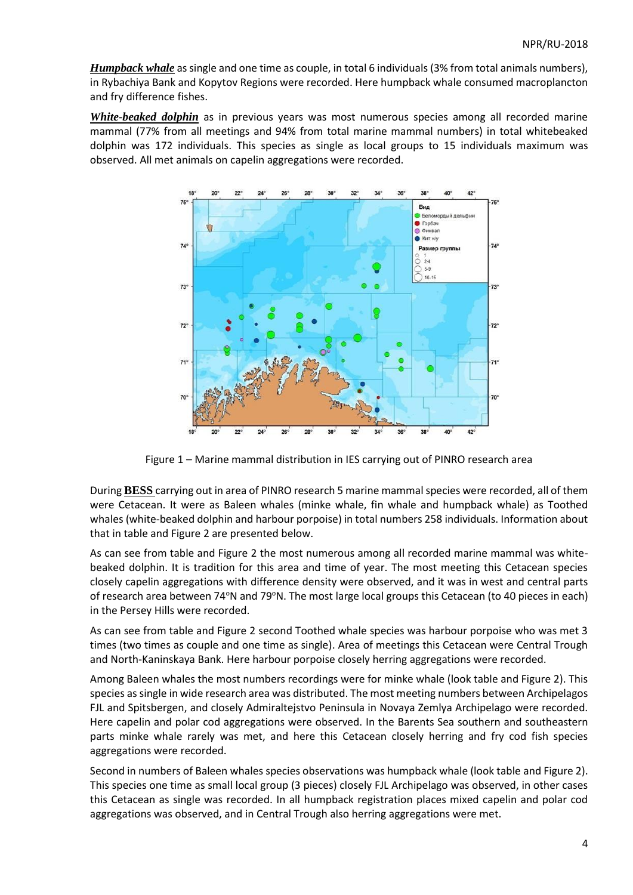*Humpback whale* as single and one time as couple, in total 6 individuals (3% from total animals numbers), in Rybachiya Bank and Kopytov Regions were recorded. Here humpback whale consumed macroplancton and fry difference fishes.

*White-beaked dolphin* as in previous years was most numerous species among all recorded marine mammal (77% from all meetings and 94% from total marine mammal numbers) in total whitebeaked dolphin was 172 individuals. This species as single as local groups to 15 individuals maximum was observed. All met animals on capelin aggregations were recorded.



Figure 1 – Marine mammal distribution in IES carrying out of PINRO research area

During **BESS** carrying out in area of PINRO research 5 marine mammal species were recorded, all of them were Cetacean. It were as Baleen whales (minke whale, fin whale and humpback whale) as Toothed whales (white-beaked dolphin and harbour porpoise) in total numbers 258 individuals. Information about that in table and Figure 2 are presented below.

As can see from table and Figure 2 the most numerous among all recorded marine mammal was whitebeaked dolphin. It is tradition for this area and time of year. The most meeting this Cetacean species closely capelin aggregations with difference density were observed, and it was in west and central parts of research area between 74°N and 79°N. The most large local groups this Cetacean (to 40 pieces in each) in the Persey Hills were recorded.

As can see from table and Figure 2 second Toothed whale species was harbour porpoise who was met 3 times (two times as couple and one time as single). Area of meetings this Cetacean were Central Trough and North-Kaninskaya Bank. Here harbour porpoise closely herring aggregations were recorded.

Among Baleen whales the most numbers recordings were for minke whale (look table and Figure 2). This species as single in wide research area was distributed. The most meeting numbers between Archipelagos FJL and Spitsbergen, and closely Admiraltejstvo Peninsula in Novaya Zemlya Archipelago were recorded. Here capelin and polar cod aggregations were observed. In the Barents Sea southern and southeastern parts minke whale rarely was met, and here this Cetacean closely herring and fry cod fish species aggregations were recorded.

Second in numbers of Baleen whales species observations was humpback whale (look table and Figure 2). This species one time as small local group (3 pieces) closely FJL Archipelago was observed, in other cases this Cetacean as single was recorded. In all humpback registration places mixed capelin and polar cod aggregations was observed, and in Central Trough also herring aggregations were met.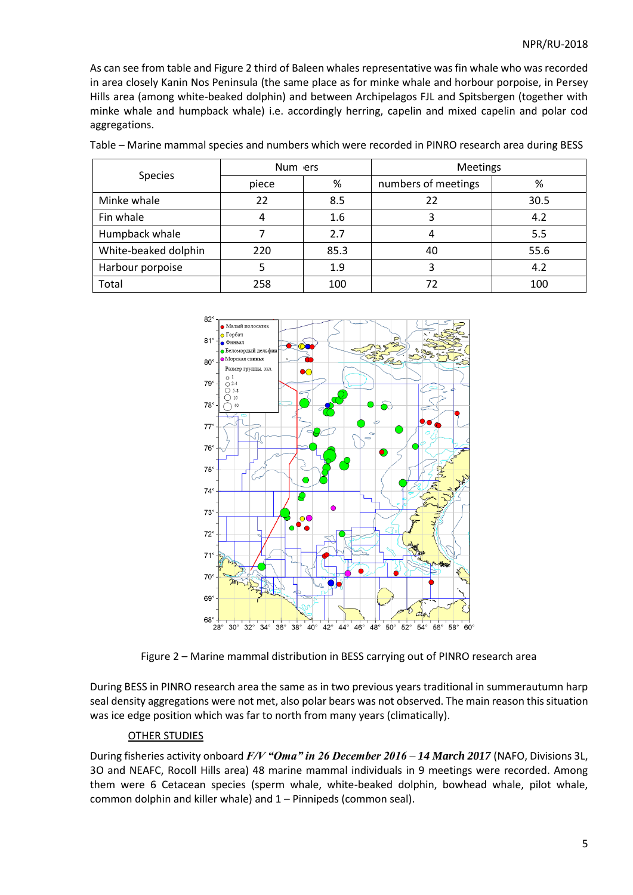As can see from table and Figure 2 third of Baleen whales representative was fin whale who was recorded in area closely Kanin Nos Peninsula (the same place as for minke whale and horbour porpoise, in Persey Hills area (among white-beaked dolphin) and between Archipelagos FJL and Spitsbergen (together with minke whale and humpback whale) i.e. accordingly herring, capelin and mixed capelin and polar cod aggregations.

| <b>Species</b>       | Num ers |      | <b>Meetings</b>     |      |
|----------------------|---------|------|---------------------|------|
|                      | piece   | %    | numbers of meetings | %    |
| Minke whale          | 22      | 8.5  | 22                  | 30.5 |
| Fin whale            |         | 1.6  |                     | 4.2  |
| Humpback whale       |         | 2.7  |                     | 5.5  |
| White-beaked dolphin | 220     | 85.3 | 40                  | 55.6 |
| Harbour porpoise     |         | 1.9  |                     | 4.2  |
| Total                | 258     | 100  |                     | 100  |

Table – Marine mammal species and numbers which were recorded in PINRO research area during BESS



Figure 2 – Marine mammal distribution in BESS carrying out of PINRO research area

During BESS in PINRO research area the same as in two previous years traditional in summerautumn harp seal density aggregations were not met, also polar bears was not observed. The main reason this situation was ice edge position which was far to north from many years (climatically).

#### OTHER STUDIES

During fisheries activity onboard *F/V "Oma" in 26 December 2016 – 14 March 2017* (NAFO, Divisions 3L, 3O and NEAFC, Rocoll Hills area) 48 marine mammal individuals in 9 meetings were recorded. Among them were 6 Cetacean species (sperm whale, white-beaked dolphin, bowhead whale, pilot whale, common dolphin and killer whale) and 1 – Pinnipeds (common seal).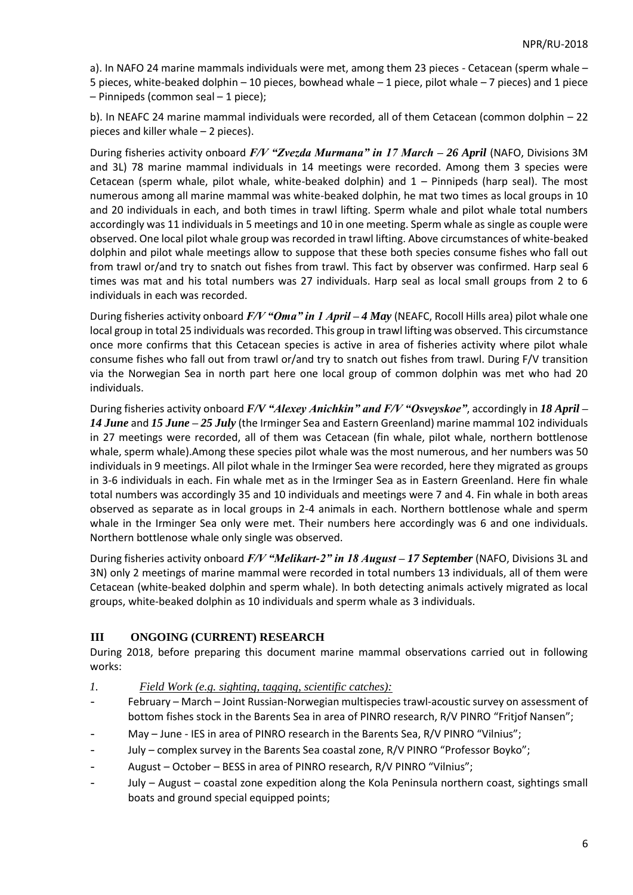a). In NAFO 24 marine mammals individuals were met, among them 23 pieces - Cetacean (sperm whale – 5 pieces, white-beaked dolphin – 10 pieces, bowhead whale – 1 piece, pilot whale – 7 pieces) and 1 piece – Pinnipeds (common seal – 1 piece);

b). In NEAFC 24 marine mammal individuals were recorded, all of them Cetacean (common dolphin – 22 pieces and killer whale – 2 pieces).

During fisheries activity onboard *F/V "Zvezda Murmana" in 17 March – 26 April* (NAFO, Divisions 3M and 3L) 78 marine mammal individuals in 14 meetings were recorded. Among them 3 species were Cetacean (sperm whale, pilot whale, white-beaked dolphin) and 1 – Pinnipeds (harp seal). The most numerous among all marine mammal was white-beaked dolphin, he mat two times as local groups in 10 and 20 individuals in each, and both times in trawl lifting. Sperm whale and pilot whale total numbers accordingly was 11 individuals in 5 meetings and 10 in one meeting. Sperm whale as single as couple were observed. One local pilot whale group was recorded in trawl lifting. Above circumstances of white-beaked dolphin and pilot whale meetings allow to suppose that these both species consume fishes who fall out from trawl or/and try to snatch out fishes from trawl. This fact by observer was confirmed. Harp seal 6 times was mat and his total numbers was 27 individuals. Harp seal as local small groups from 2 to 6 individuals in each was recorded.

During fisheries activity onboard *F/V "Oma" in 1 April – 4 May* (NEAFC, Rocoll Hills area) pilot whale one local group in total 25 individuals was recorded. This group in trawl lifting was observed. This circumstance once more confirms that this Cetacean species is active in area of fisheries activity where pilot whale consume fishes who fall out from trawl or/and try to snatch out fishes from trawl. During F/V transition via the Norwegian Sea in north part here one local group of common dolphin was met who had 20 individuals.

During fisheries activity onboard *F/V "Alexey Anichkin" and F/V "Osveyskoe"*, accordingly in *18 April – 14 June* and *15 June – 25 July* (the Irminger Sea and Eastern Greenland) marine mammal 102 individuals in 27 meetings were recorded, all of them was Cetacean (fin whale, pilot whale, northern bottlenose whale, sperm whale).Among these species pilot whale was the most numerous, and her numbers was 50 individuals in 9 meetings. All pilot whale in the Irminger Sea were recorded, here they migrated as groups in 3-6 individuals in each. Fin whale met as in the Irminger Sea as in Eastern Greenland. Here fin whale total numbers was accordingly 35 and 10 individuals and meetings were 7 and 4. Fin whale in both areas observed as separate as in local groups in 2-4 animals in each. Northern bottlenose whale and sperm whale in the Irminger Sea only were met. Their numbers here accordingly was 6 and one individuals. Northern bottlenose whale only single was observed.

During fisheries activity onboard *F/V "Melikart-2" in 18 August – 17 September* (NAFO, Divisions 3L and 3N) only 2 meetings of marine mammal were recorded in total numbers 13 individuals, all of them were Cetacean (white-beaked dolphin and sperm whale). In both detecting animals actively migrated as local groups, white-beaked dolphin as 10 individuals and sperm whale as 3 individuals.

# **III ONGOING (CURRENT) RESEARCH**

During 2018, before preparing this document marine mammal observations carried out in following works:

- *1. Field Work (e.g. sighting, tagging, scientific catches):*
- February March Joint Russian-Norwegian multispecies trawl-acoustic survey on assessment of bottom fishes stock in the Barents Sea in area of PINRO research, R/V PINRO "Fritjof Nansen";
- May June IES in area of PINRO research in the Barents Sea, R/V PINRO "Vilnius";
- July complex survey in the Barents Sea coastal zone, R/V PINRO "Professor Boyko";
- August October BESS in area of PINRO research, R/V PINRO "Vilnius";
- July August coastal zone expedition along the Kola Peninsula northern coast, sightings small boats and ground special equipped points;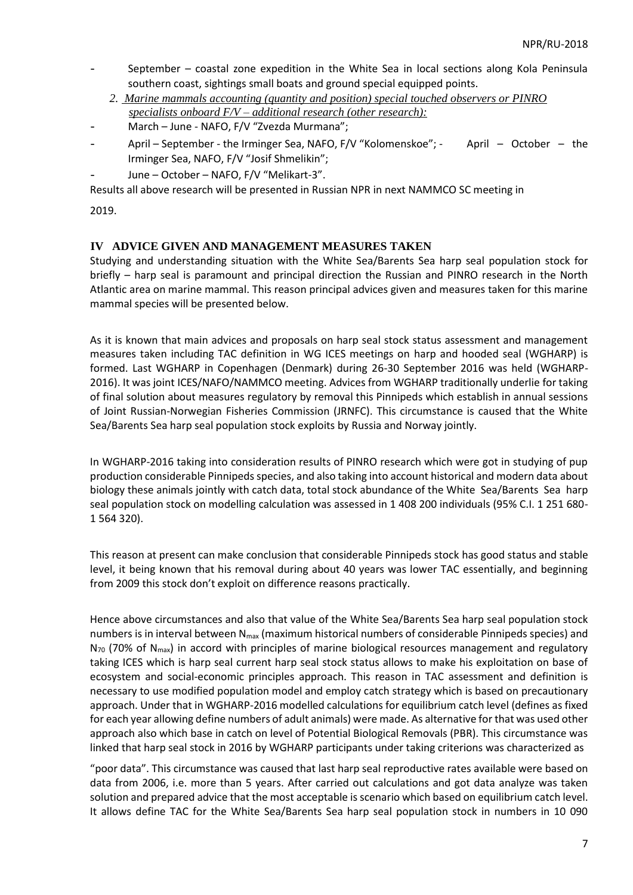- September coastal zone expedition in the White Sea in local sections along Kola Peninsula southern coast, sightings small boats and ground special equipped points.
	- *2. Marine mammals accounting (quantity and position) special touched observers or PINRO specialists onboard F/V – additional research (other research):*
- March June NAFO, F/V "Zvezda Murmana";
- April September the Irminger Sea, NAFO, F/V "Kolomenskoe"; April October the Irminger Sea, NAFO, F/V "Josif Shmelikin";
- June October NAFO, F/V "Melikart-3".

Results all above research will be presented in Russian NPR in next NAMMCO SC meeting in

2019.

### **IV ADVICE GIVEN AND MANAGEMENT MEASURES TAKEN**

Studying and understanding situation with the White Sea/Barents Sea harp seal population stock for briefly – harp seal is paramount and principal direction the Russian and PINRO research in the North Atlantic area on marine mammal. This reason principal advices given and measures taken for this marine mammal species will be presented below.

As it is known that main advices and proposals on harp seal stock status assessment and management measures taken including TAC definition in WG ICES meetings on harp and hooded seal (WGHARP) is formed. Last WGHARP in Copenhagen (Denmark) during 26-30 September 2016 was held (WGHARP-2016). It was joint ICES/NAFO/NAMMCO meeting. Advices from WGHARP traditionally underlie for taking of final solution about measures regulatory by removal this Pinnipeds which establish in annual sessions of Joint Russian-Norwegian Fisheries Commission (JRNFC). This circumstance is caused that the White Sea/Barents Sea harp seal population stock exploits by Russia and Norway jointly.

In WGHARP-2016 taking into consideration results of PINRO research which were got in studying of pup production considerable Pinnipeds species, and also taking into account historical and modern data about biology these animals jointly with catch data, total stock abundance of the White Sea/Barents Sea harp seal population stock on modelling calculation was assessed in 1 408 200 individuals (95% C.I. 1 251 680- 1 564 320).

This reason at present can make conclusion that considerable Pinnipeds stock has good status and stable level, it being known that his removal during about 40 years was lower TAC essentially, and beginning from 2009 this stock don't exploit on difference reasons practically.

Hence above circumstances and also that value of the White Sea/Barents Sea harp seal population stock numbers is in interval between N<sub>max</sub> (maximum historical numbers of considerable Pinnipeds species) and  $N_{70}$  (70% of  $N_{max}$ ) in accord with principles of marine biological resources management and regulatory taking ICES which is harp seal current harp seal stock status allows to make his exploitation on base of ecosystem and social-economic principles approach. This reason in TAC assessment and definition is necessary to use modified population model and employ catch strategy which is based on precautionary approach. Under that in WGHARP-2016 modelled calculations for equilibrium catch level (defines as fixed for each year allowing define numbers of adult animals) were made. As alternative for that was used other approach also which base in catch on level of Potential Biological Removals (PBR). This circumstance was linked that harp seal stock in 2016 by WGHARP participants under taking criterions was characterized as

"poor data". This circumstance was caused that last harp seal reproductive rates available were based on data from 2006, i.e. more than 5 years. After carried out calculations and got data analyze was taken solution and prepared advice that the most acceptable is scenario which based on equilibrium catch level. It allows define TAC for the White Sea/Barents Sea harp seal population stock in numbers in 10 090